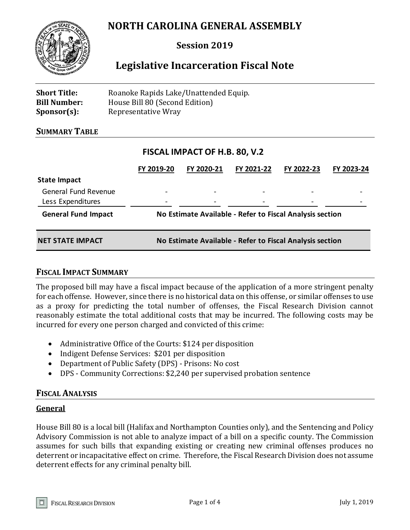# **NORTH CAROLINA GENERAL ASSEMBLY**



## **Session 2019**

## **Legislative Incarceration Fiscal Note**

| <b>Short Title:</b> | Roanoke Rapids Lake/Unattended Equip. |
|---------------------|---------------------------------------|
| <b>Bill Number:</b> | House Bill 80 (Second Edition)        |
| $Sponsor(s)$ :      | Representative Wray                   |

#### **SUMMARY TABLE**

#### **FISCAL IMPACT OF H.B. 80, V.2**

|                             | FY 2019-20                                               | FY 2020-21                                               | FY 2021-22 | FY 2022-23      | FY 2023-24      |  |  |
|-----------------------------|----------------------------------------------------------|----------------------------------------------------------|------------|-----------------|-----------------|--|--|
| <b>State Impact</b>         |                                                          |                                                          |            |                 |                 |  |  |
| <b>General Fund Revenue</b> |                                                          |                                                          |            |                 |                 |  |  |
| Less Expenditures           |                                                          |                                                          |            | $\qquad \qquad$ | $\qquad \qquad$ |  |  |
| <b>General Fund Impact</b>  | No Estimate Available - Refer to Fiscal Analysis section |                                                          |            |                 |                 |  |  |
| <b>NET STATE IMPACT</b>     |                                                          | No Estimate Available - Refer to Fiscal Analysis section |            |                 |                 |  |  |

#### **FISCAL IMPACT SUMMARY**

The proposed bill may have a fiscal impact because of the application of a more stringent penalty for each offense. However, since there is no historical data on this offense, or similar offenses to use as a proxy for predicting the total number of offenses, the Fiscal Research Division cannot reasonably estimate the total additional costs that may be incurred. The following costs may be incurred for every one person charged and convicted of this crime:

- Administrative Office of the Courts: \$124 per disposition
- Indigent Defense Services: \$201 per disposition
- Department of Public Safety (DPS) Prisons: No cost
- DPS Community Corrections: \$2,240 per supervised probation sentence

#### **FISCAL ANALYSIS**

#### **General**

House Bill 80 is a local bill (Halifax and Northampton Counties only), and the Sentencing and Policy Advisory Commission is not able to analyze impact of a bill on a specific county. The Commission assumes for such bills that expanding existing or creating new criminal offenses produces no deterrent or incapacitative effect on crime. Therefore, the Fiscal Research Division does not assume deterrent effects for any criminal penalty bill.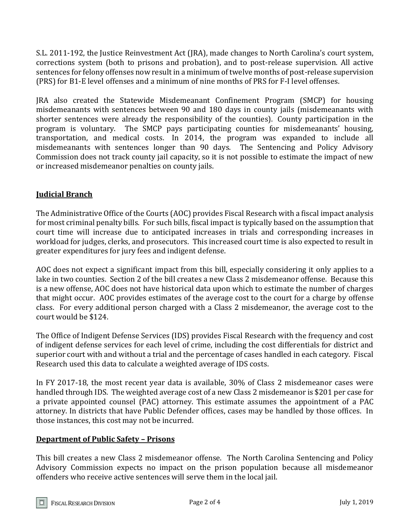S.L. 2011-192, the Justice Reinvestment Act (JRA), made changes to North Carolina's court system, corrections system (both to prisons and probation), and to post-release supervision. All active sentences for felony offenses now result in a minimum of twelve months of post-release supervision (PRS) for B1-E level offenses and a minimum of nine months of PRS for F-I level offenses.

JRA also created the Statewide Misdemeanant Confinement Program (SMCP) for housing misdemeanants with sentences between 90 and 180 days in county jails (misdemeanants with shorter sentences were already the responsibility of the counties). County participation in the program is voluntary. The SMCP pays participating counties for misdemeanants' housing, transportation, and medical costs. In 2014, the program was expanded to include all misdemeanants with sentences longer than 90 days. The Sentencing and Policy Advisory Commission does not track county jail capacity, so it is not possible to estimate the impact of new or increased misdemeanor penalties on county jails.

## **Judicial Branch**

The Administrative Office of the Courts (AOC) provides Fiscal Research with a fiscal impact analysis for most criminal penalty bills. For such bills, fiscal impact is typically based on the assumption that court time will increase due to anticipated increases in trials and corresponding increases in workload for judges, clerks, and prosecutors. This increased court time is also expected to result in greater expenditures for jury fees and indigent defense.

AOC does not expect a significant impact from this bill, especially considering it only applies to a lake in two counties. Section 2 of the bill creates a new Class 2 misdemeanor offense. Because this is a new offense, AOC does not have historical data upon which to estimate the number of charges that might occur. AOC provides estimates of the average cost to the court for a charge by offense class. For every additional person charged with a Class 2 misdemeanor, the average cost to the court would be \$124.

The Office of Indigent Defense Services (IDS) provides Fiscal Research with the frequency and cost of indigent defense services for each level of crime, including the cost differentials for district and superior court with and without a trial and the percentage of cases handled in each category. Fiscal Research used this data to calculate a weighted average of IDS costs.

In FY 2017-18, the most recent year data is available, 30% of Class 2 misdemeanor cases were handled through IDS. The weighted average cost of a new Class 2 misdemeanor is \$201 per case for a private appointed counsel (PAC) attorney. This estimate assumes the appointment of a PAC attorney. In districts that have Public Defender offices, cases may be handled by those offices. In those instances, this cost may not be incurred.

#### **Department of Public Safety – Prisons**

This bill creates a new Class 2 misdemeanor offense. The North Carolina Sentencing and Policy Advisory Commission expects no impact on the prison population because all misdemeanor offenders who receive active sentences will serve them in the local jail.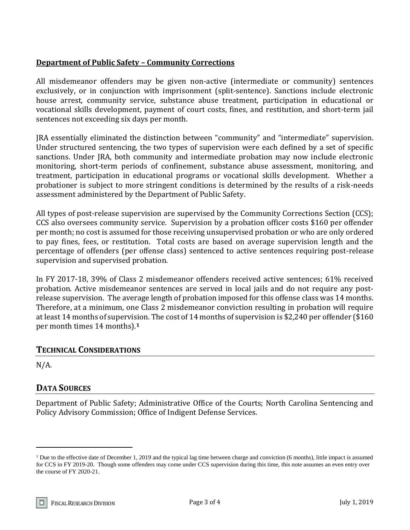#### **Department of Public Safety – Community Corrections**

All misdemeanor offenders may be given non-active (intermediate or community) sentences exclusively, or in conjunction with imprisonment (split-sentence). Sanctions include electronic house arrest, community service, substance abuse treatment, participation in educational or vocational skills development, payment of court costs, fines, and restitution, and short-term jail sentences not exceeding six days per month.

JRA essentially eliminated the distinction between "community" and "intermediate" supervision. Under structured sentencing, the two types of supervision were each defined by a set of specific sanctions. Under JRA, both community and intermediate probation may now include electronic monitoring, short-term periods of confinement, substance abuse assessment, monitoring, and treatment, participation in educational programs or vocational skills development. Whether a probationer is subject to more stringent conditions is determined by the results of a risk-needs assessment administered by the Department of Public Safety.

All types of post-release supervision are supervised by the Community Corrections Section (CCS); CCS also oversees community service. Supervision by a probation officer costs \$160 per offender per month; no cost is assumed for those receiving unsupervised probation or who are only ordered to pay fines, fees, or restitution. Total costs are based on average supervision length and the percentage of offenders (per offense class) sentenced to active sentences requiring post-release supervision and supervised probation.

In FY 2017-18, 39% of Class 2 misdemeanor offenders received active sentences; 61% received probation. Active misdemeanor sentences are served in local jails and do not require any postrelease supervision. The average length of probation imposed for this offense class was 14 months. Therefore, at a minimum, one Class 2 misdemeanor conviction resulting in probation will require at least 14 months of supervision. The cost of 14 months of supervision is \$2,240 per offender (\$160 per month times 14 months).**<sup>1</sup>**

## **TECHNICAL CONSIDERATIONS**

 $N/A$ .

 $\overline{a}$ 

## **DATA SOURCES**

Department of Public Safety; Administrative Office of the Courts; North Carolina Sentencing and Policy Advisory Commission; Office of Indigent Defense Services.

<sup>&</sup>lt;sup>1</sup> Due to the effective date of December 1, 2019 and the typical lag time between charge and conviction (6 months), little impact is assumed for CCS in FY 2019-20. Though some offenders may come under CCS supervision during this time, this note assumes an even entry over the course of FY 2020-21.